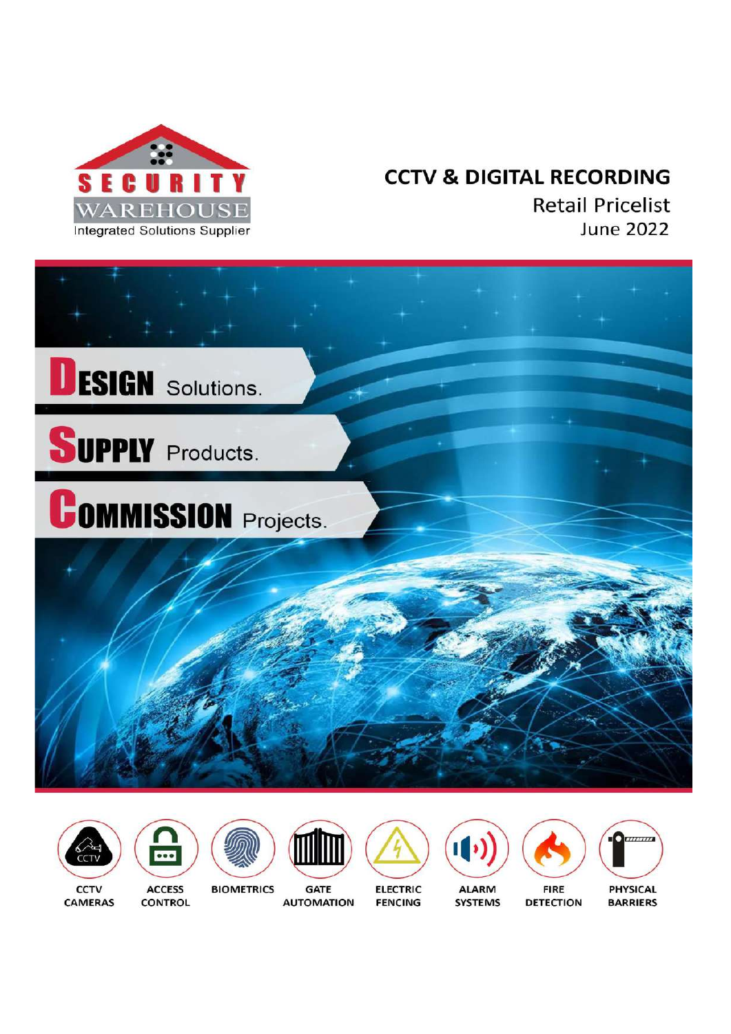

# **CCTV & DIGITAL RECORDING**

**Retail Pricelist June 2022** 



















**BARRIERS** 

**CAMERAS** 

**CONTROL** 

**GATE AUTOMATION** 

**ELECTRIC FENCING** 

**SYSTEMS** 

**DETECTION**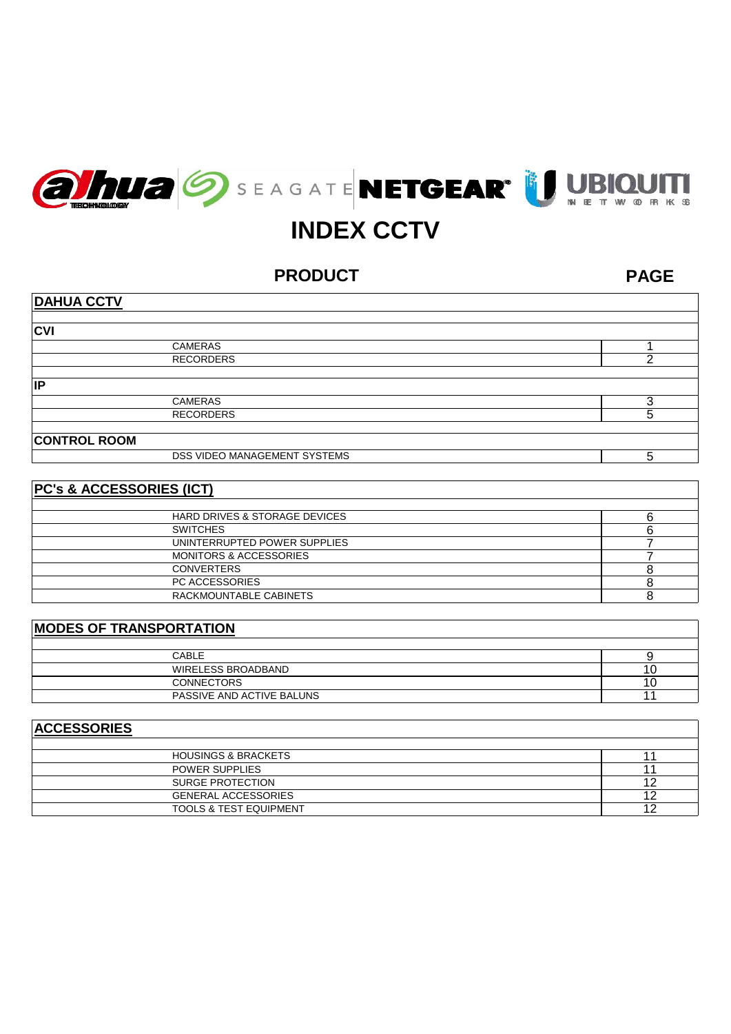



# **INDEX CCTV**

**PRODUCT**

**PAGE**

| <b>DAHUA CCTV</b>            |   |
|------------------------------|---|
|                              |   |
| <b>CVI</b>                   |   |
| <b>CAMERAS</b>               |   |
| <b>RECORDERS</b>             |   |
|                              |   |
| IP                           |   |
| <b>CAMERAS</b>               |   |
| <b>RECORDERS</b>             | 5 |
|                              |   |
| <b>CONTROL ROOM</b>          |   |
| DSS VIDEO MANAGEMENT SYSTEMS | 5 |

# **PC's & ACCESSORIES (ICT)**

| <b>HARD DRIVES &amp; STORAGE DEVICES</b> |  |
|------------------------------------------|--|
| <b>SWITCHES</b>                          |  |
| UNINTERRUPTED POWER SUPPLIES             |  |
| <b>MONITORS &amp; ACCESSORIES</b>        |  |
| <b>CONVERTERS</b>                        |  |
| PC ACCESSORIES                           |  |
| RACKMOUNTABLE CABINETS                   |  |

# **MODES OF TRANSPORTATION**

| CABLE                     |  |
|---------------------------|--|
| WIRELESS BROADBAND        |  |
| <b>CONNECTORS</b>         |  |
| PASSIVE AND ACTIVE BALUNS |  |

# **ACCESSORIES**

| <b>HOUSINGS &amp; BRACKETS</b>    |  |
|-----------------------------------|--|
| <b>POWER SUPPLIES</b>             |  |
| SURGE PROTECTION                  |  |
| <b>GENERAL ACCESSORIES</b>        |  |
| <b>TOOLS &amp; TEST EQUIPMENT</b> |  |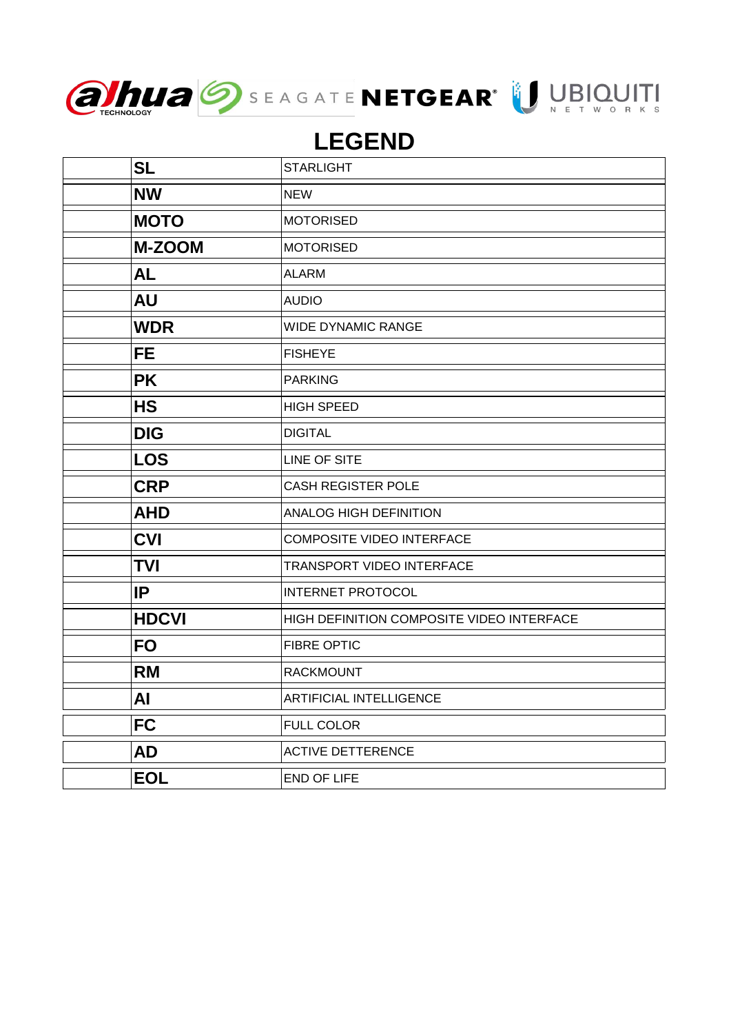



# **LEGEND**

| <b>SL</b>     | <b>STARLIGHT</b>                          |
|---------------|-------------------------------------------|
| <b>NW</b>     | <b>NEW</b>                                |
| <b>MOTO</b>   | <b>MOTORISED</b>                          |
| <b>M-ZOOM</b> | <b>MOTORISED</b>                          |
| <b>AL</b>     | <b>ALARM</b>                              |
| <b>AU</b>     | <b>AUDIO</b>                              |
| <b>WDR</b>    | <b>WIDE DYNAMIC RANGE</b>                 |
| <b>FE</b>     | <b>FISHEYE</b>                            |
| <b>PK</b>     | <b>PARKING</b>                            |
| <b>HS</b>     | <b>HIGH SPEED</b>                         |
| <b>DIG</b>    | <b>DIGITAL</b>                            |
| <b>LOS</b>    | LINE OF SITE                              |
| <b>CRP</b>    | <b>CASH REGISTER POLE</b>                 |
| <b>AHD</b>    | <b>ANALOG HIGH DEFINITION</b>             |
| <b>CVI</b>    | <b>COMPOSITE VIDEO INTERFACE</b>          |
| <b>TVI</b>    | <b>TRANSPORT VIDEO INTERFACE</b>          |
| IP            | <b>INTERNET PROTOCOL</b>                  |
| <b>HDCVI</b>  | HIGH DEFINITION COMPOSITE VIDEO INTERFACE |
| <b>FO</b>     | <b>FIBRE OPTIC</b>                        |
| <b>RM</b>     | <b>RACKMOUNT</b>                          |
| AI            | <b>ARTIFICIAL INTELLIGENCE</b>            |
| <b>FC</b>     | <b>FULL COLOR</b>                         |
| <b>AD</b>     | <b>ACTIVE DETTERENCE</b>                  |
| <b>EOL</b>    | <b>END OF LIFE</b>                        |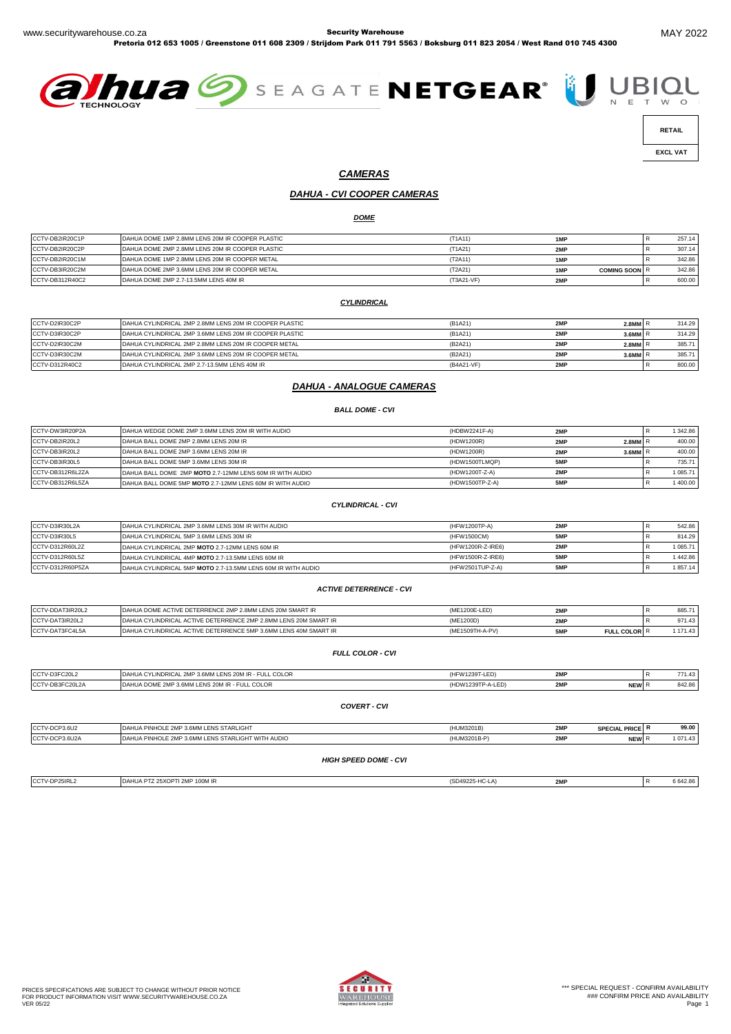Pretoria 012 653 1005 / Greenstone 011 608 2309 / Strijdom Park 011 791 5563 / Boksburg 011 823 2054 / West Rand 010 745 4300





 **EXCL VAT** 

#### *CAMERAS*

# *DAHUA - CVI COOPER CAMERAS*

*DOME*

| CCTV-DB2IR20C1P | DAHUA DOME 1MP 2.8MM LENS 20M IR COOPER PLASTIC | (T1A11)    | 1MP                         | 257.14 |
|-----------------|-------------------------------------------------|------------|-----------------------------|--------|
| CCTV-DB2IR20C2P | DAHUA DOME 2MP 2.8MM LENS 20M IR COOPER PLASTIC | (T1A21)    | 2MP                         | 307.14 |
| CCTV-DB2IR20C1M | DAHUA DOME 1MP 2.8MM LENS 20M IR COOPER METAL   | (T2A11)    | 1MP                         | 342.86 |
| CCTV-DB3IR20C2M | DAHUA DOME 2MP 3.6MM LENS 20M IR COOPER METAL   | (T2A21)    | 1MP<br><b>COMING SOON R</b> | 342.86 |
| CCTV-DB312R40C2 | DAHUA DOME 2MP 2.7-13.5MM LENS 40M IR           | (T3A21-VF) | 2MP                         | 600.00 |

#### *CYLINDRICAL*

| CCTV-D2IR30C2P | IDAHUA CYLINDRICAL 2MP 2.8MM LENS 20M IR COOPER PLASTIC | (B1A21)    | 2MP | $2.8$ MM $R$ | 314.29 |
|----------------|---------------------------------------------------------|------------|-----|--------------|--------|
| CCTV-D3IR30C2P | DAHUA CYLINDRICAL 2MP 3.6MM LENS 20M IR COOPER PLASTIC  | (B1A21)    | 2MP | 3.6MM R      | 314.29 |
| CCTV-D2IR30C2M | DAHUA CYLINDRICAL 2MP 2.8MM LENS 20M IR COOPER METAL    | (B2A21)    | 2MP | $2.8$ MM $R$ | 385.71 |
| CCTV-D3IR30C2M | DAHUA CYLINDRICAL 2MP 3.6MM LENS 20M IR COOPER METAL    | (B2A21)    | 2MP | $3.6$ MM $R$ | 385.71 |
| CCTV-D312R40C2 | DAHUA CYLINDRICAL 2MP 2.7-13.5MM LENS 40M IR            | (B4A21-VF) | 2MP |              | 800.00 |

#### *DAHUA - ANALOGUE CAMERAS*

#### *BALL DOME - CVI*

| CCTV-DW3IR20P2A  | DAHUA WEDGE DOME 2MP 3.6MM LENS 20M IR WITH AUDIO        | (HDBW2241F-A)   | 2MP |              | 1 342.86 |
|------------------|----------------------------------------------------------|-----------------|-----|--------------|----------|
| CCTV-DB2IR20L2   | DAHUA BALL DOME 2MP 2.8MM LENS 20M IR                    | (HDW1200R)      | 2MP | $2.8$ MM $R$ | 400.00   |
| CCTV-DB3IR20L2   | DAHUA BALL DOME 2MP 3.6MM LENS 20M IR                    | (HDW1200R)      | 2MP | 3.6MM R      | 400.00   |
| CCTV-DB3IR30L5   | DAHUA BALL DOME 5MP 3.6MM LENS 30M IR                    | (HDW1500TLMQP)  | 5MP |              | 735.71   |
| CCTV-DB312R6L2ZA | DAHUA BALL DOME 2MP MOTO 2.7-12MM LENS 60M IR WITH AUDIO | (HDW1200T-Z-A)  | 2MP |              | 1 085.71 |
| CCTV-DB312R6L5ZA | DAHUA BALL DOME 5MP MOTO 2.7-12MM LENS 60M IR WITH AUDIO | (HDW1500TP-Z-A) | 5MP |              | 1400.00  |

#### *CYLINDRICAL - CVI*

| CCTV-D3IR30L2A   | DAHUA CYLINDRICAL 2MP 3.6MM LENS 30M IR WITH AUDIO           | (HFW1200TP-A)     | 2MP | 542.86  |
|------------------|--------------------------------------------------------------|-------------------|-----|---------|
| CCTV-D3IR30L5    | DAHUA CYLINDRICAL 5MP 3.6MM LENS 30M IR                      | (HFW1500CM)       | 5MP | 814.29  |
| CCTV-D312R60L2Z  | DAHUA CYLINDRICAL 2MP MOTO 2.7-12MM LENS 60M IR              | (HFW1200R-Z-IRE6) | 2MP | 1085.71 |
| CCTV-D312R60L5Z  | DAHUA CYLINDRICAL 4MP MOTO 2.7-13.5MM LENS 60M IR            | (HFW1500R-Z-IRE6) | 5MP | 1442.86 |
| CCTV-D312R60P5ZA | DAHUA CYLINDRICAL 5MP MOTO 2.7-13.5MM LENS 60M IR WITH AUDIO | (HFW2501TUP-Z-A)  | 5MP | 1857.14 |

#### *ACTIVE DETERRENCE - CVI*

| CCTV-DDAT3IR20L2 | DAHUA DOME ACTIVE DETERRENCE 2MP 2.8MM LENS 20M SMART IR             |                 | 2MP |                        | ಂರಿ    |
|------------------|----------------------------------------------------------------------|-----------------|-----|------------------------|--------|
| CCTV-DAT3IR20L2  | DAHUA CYLINDRICAL ACTIVE DETERRENCE 2MP 2.8MM LENS 20M SMART IR      | (ME1200D)       | 2MP |                        | 971.43 |
| CCTV-DAT3FC4L5A  | L ACTIVE DETERRENCE 5MP 3.6MM LENS 40M SMART IR<br>DAHUA CYLINDRICAL | (ME1509TH-A-PV) | 5MP | L COLOR<br><b>FULI</b> |        |

#### *FULL COLOR - CVI*

| CCTV-D3FC20L2   | DAHUA CYLINDRICAL 2MP 3.6MM LENS 20M IR - FULL COLOR | '4FW1239T-LED)    | 2MF                      | 771.43 |
|-----------------|------------------------------------------------------|-------------------|--------------------------|--------|
| CCTV-DB3FC20L2A | DAHUA DOME 2MP 3.6MM LENS 20M IR - FULL COLOR        | (HDW1239TP-A-LED) | OM<br><b>NEW</b><br>4M N | 842.86 |
|                 |                                                      |                   |                          |        |

#### *COVERT - CVI*

| CCTV-DCP3.6U2                | DAHUA PINHOLE 2MP 3.6MM LENS STARLIGHT            | (HUM3201B)      | 2MP | <b>SPECIAL PRICE R</b> |  | 99.00    |
|------------------------------|---------------------------------------------------|-----------------|-----|------------------------|--|----------|
| CCTV-DCP3.6U2A               | DAHUA PINHOLE 2MP 3.6MM LENS STARLIGHT WITH AUDIO | (HUM3201B-P)    | 2MP | NEW R                  |  | 1 071.43 |
| <b>HIGH SPEED DOME - CVI</b> |                                                   |                 |     |                        |  |          |
| CCTV-DP25IRL2                | DAHUA PTZ 25XOPTI 2MP 100M IR                     | (SD49225-HC-LA) | 2MP |                        |  | 6642.86  |

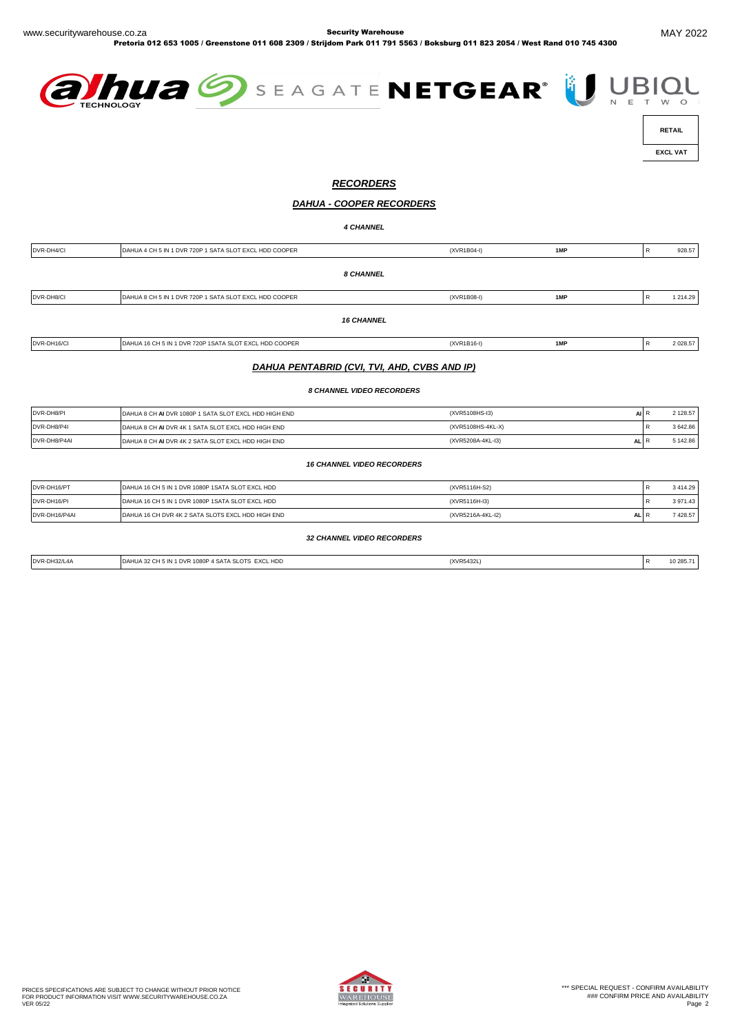Pretoria 012 653 1005 / Greenstone 011 608 2309 / Strijdom Park 011 791 5563 / Boksburg 011 823 2054 / West Rand 010 745 4300





 **EXCL VAT** 

# *RECORDERS*

#### *DAHUA - COOPER RECORDERS*

*4 CHANNEL*

| DVR-DH4/CI  | DAHUA 4 CH 5 IN 1 DVR 720P 1 SATA SLOT EXCL HDD COOPER | (XVR1B04-I)   | 1MP | 928.57    |
|-------------|--------------------------------------------------------|---------------|-----|-----------|
|             | <b>8 CHANNEL</b>                                       |               |     |           |
| DVR-DH8/CI  | DAHUA 8 CH 5 IN 1 DVR 720P 1 SATA SLOT EXCL HDD COOPER | (XVR1B08-I)   | 1MP | 1 214.29  |
|             | <b>16 CHANNEL</b>                                      |               |     |           |
| DVR-DH16/CI | DAHUA 16 CH 5 IN 1 DVR 720P 1SATA SLOT EXCL HDD COOPER | $(XVR1B16-I)$ | 1MP | 2 0 28.57 |

#### *DAHUA PENTABRID (CVI, TVI, AHD, CVBS AND IP)*

*8 CHANNEL VIDEO RECORDERS*

| DVR-DH8/PI   | DAHUA 8 CH AI DVR 1080P 1 SATA SLOT EXCL HDD HIGH END | (XVR5108HS-I3)                  | 2 128.57 |
|--------------|-------------------------------------------------------|---------------------------------|----------|
| DVR-DH8/P4I  | DAHUA 8 CH AI DVR 4K 1 SATA SLOT EXCL HDD HIGH END    | (XVR5108HS-4KL-X)               | 3 642.86 |
| DVR-DH8/P4AI | DAHUA 8 CH ALDVR 4K 2 SATA SLOT EXCL HDD HIGH END     | (XVR5208A-4KL-I3)<br><b>ALI</b> | 142.86   |

*16 CHANNEL VIDEO RECORDERS*

| DVR-DH16/PT   | DAHUA 16 CH 5 IN 1 DVR 1080P 1SATA SLOT EXCL HDD  | (XVR5116H-S2)            | 3414.29 |
|---------------|---------------------------------------------------|--------------------------|---------|
| DVR-DH16/PI   | DAHUA 16 CH 5 IN 1 DVR 1080P 1SATA SLOT EXCL HDD  | (XVR5116H-I3)            | 3971.43 |
| DVR-DH16/P4AI | DAHUA 16 CH DVR 4K 2 SATA SLOTS EXCL HDD HIGH END | (XVR5216A-4KL-I2)<br>ALI | 7428.57 |
|               |                                                   |                          |         |

*32 CHANNEL VIDEO RECORDERS*

| DVR-DH32/L | <b>HDD</b><br><b>EY</b><br>108 | (XVR5432) |  | 10 ZOO<br>. |
|------------|--------------------------------|-----------|--|-------------|
|            |                                |           |  |             |

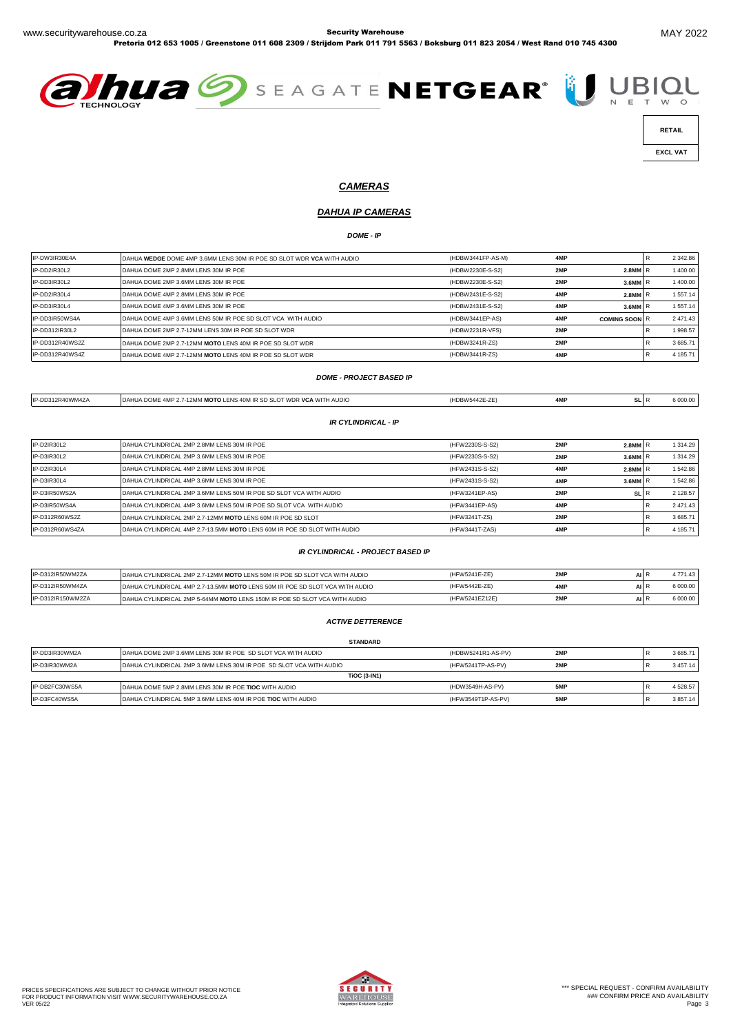Pretoria 012 653 1005 / Greenstone 011 608 2309 / Strijdom Park 011 791 5563 / Boksburg 011 823 2054 / West Rand 010 745 4300





 **RETAIL** 

 **EXCL VAT** 

# *CAMERAS*

# *DAHUA IP CAMERAS*

*DOME - IP*

| IP-DW3IR30E4A   | DAHUA WEDGE DOME 4MP 3.6MM LENS 30M IR POE SD SLOT WDR VCA WITH AUDIO | (HDBW3441FP-AS-M) | 4MP |                      | 2 342.86 |
|-----------------|-----------------------------------------------------------------------|-------------------|-----|----------------------|----------|
| IP-DD2IR30L2    | DAHUA DOME 2MP 2.8MM LENS 30M IR POE                                  | (HDBW2230E-S-S2)  | 2MP | 2.8MM                | 1400.00  |
| IP-DD3IR30L2    | DAHUA DOME 2MP 3.6MM LENS 30M IR POE                                  | (HDBW2230E-S-S2)  | 2MP | 3.6MM                | 1400.00  |
| IP-DD2IR30L4    | DAHUA DOME 4MP 2.8MM LENS 30M IR POE                                  | (HDBW2431E-S-S2)  | 4MP | $2.8$ MM $R$         | 1 557.14 |
| IP-DD3IR30L4    | DAHUA DOME 4MP 3.6MM LENS 30M IR POE                                  | (HDBW2431E-S-S2)  | 4MP | $3.6$ MM $R$         | 1 557.14 |
| IP-DD3IR50WS4A  | DAHUA DOME 4MP 3.6MM LENS 50M IR POE SD SLOT VCA WITH AUDIO           | (HDBW3441EP-AS)   | 4MP | <b>COMING SOON R</b> | 2 471.43 |
| IP-DD312IR30L2  | DAHUA DOME 2MP 2.7-12MM LENS 30M IR POE SD SLOT WDR                   | (HDBW2231R-VFS)   | 2MP |                      | 1998.57  |
| IP-DD312R40WS2Z | DAHUA DOME 2MP 2.7-12MM MOTO LENS 40M IR POE SD SLOT WDR              | (HDBW3241R-ZS)    | 2MP |                      | 3685.71  |
| IP-DD312R40WS4Z | DAHUA DOME 4MP 2.7-12MM MOTO LENS 40M IR POE SD SLOT WDR              | (HDBW3441R-ZS)    | 4MP |                      | 4 185.71 |

#### *DOME - PROJECT BASED IP*

| IP-DD312R40WM4ZA | DAHUA DOME 4MP 2.7-12MM MOTO LENS 40M IR SD SLOT WDR VCA WITH AUDIO | (HDBW5442E-ZE) | 4MP | SL |  |
|------------------|---------------------------------------------------------------------|----------------|-----|----|--|
|                  | IR CYI INDRICAI - IP                                                |                |     |    |  |

| IP-D2IR30L2     | DAHUA CYLINDRICAL 2MP 2.8MM LENS 30M IR POE                              | (HFW2230S-S-S2) | 2MP | $2.8$ MM $F$ | 1 314.29    |  |
|-----------------|--------------------------------------------------------------------------|-----------------|-----|--------------|-------------|--|
| IP-D3IR30L2     | DAHUA CYLINDRICAL 2MP 3.6MM LENS 30M IR POE                              | (HFW2230S-S-S2) | 2MP | $3.6$ MM $R$ | 1 3 1 4 2 9 |  |
| IP-D2IR30L4     | DAHUA CYLINDRICAL 4MP 2.8MM LENS 30M IR POE                              | (HFW2431S-S-S2) | 4MP | $2.8$ MM $R$ | 1542.86     |  |
| IP-D3IR30L4     | DAHUA CYLINDRICAL 4MP 3.6MM LENS 30M IR POE                              | (HFW2431S-S-S2) | 4MP | $3.6$ MM $R$ | 1542.86     |  |
| IP-D3IR50WS2A   | DAHUA CYLINDRICAL 2MP 3.6MM LENS 50M IR POE SD SLOT VCA WITH AUDIO       | (HFW3241EP-AS)  | 2MP | <b>SL</b>    | 2 128.57    |  |
| IP-D3IR50WS4A   | DAHUA CYLINDRICAL 4MP 3.6MM LENS 50M IR POE SD SLOT VCA WITH AUDIO       | (HFW3441EP-AS)  | 4MP |              | 2 471.43    |  |
| IP-D312R60WS2Z  | DAHUA CYLINDRICAL 2MP 2.7-12MM MOTO LENS 60M IR POE SD SLOT              | (HFW3241T-ZS)   | 2MP |              | 3 685.71    |  |
| IP-D312R60WS4ZA | DAHUA CYLINDRICAL 4MP 2.7-13.5MM MOTO LENS 60M IR POE SD SLOT WITH AUDIO | (HFW3441T-ZAS)  | 4MP |              | 4 185.71    |  |

#### *IR CYLINDRICAL - PROJECT BASED IP*

| IP-D312IR50WM2ZA  | DAHUA CYLINDRICAL 2MP 2.7-12MM MOTO LENS 50M IR POE SD SLOT VCA WITH AUDIO   | (HFW5241E-ZE)  | 2MP | AII | 4 771.43 |
|-------------------|------------------------------------------------------------------------------|----------------|-----|-----|----------|
| IP-D312IR50WM4ZA  | DAHUA CYLINDRICAL 4MP 2.7-13.5MM MOTO LENS 50M IR POE SD SLOT VCA WITH AUDIO | (HFW5442F-7F)  | 4MP | AII | \$000.00 |
| IP-D312IR150WM2ZA | DAHUA CYLINDRICAL 2MP 5-64MM MOTO LENS 150M IR POE SD SLOT VCA WITH AUDIO    | (HFW5241EZ12E) | 2MP | AII |          |

#### *ACTIVE DETTERENCE*

|                | <b>STANDARD</b>                                                    |                    |     |               |
|----------------|--------------------------------------------------------------------|--------------------|-----|---------------|
| IP-DD3IR30WM2A | DAHUA DOME 2MP 3.6MM LENS 30M IR POE SD SLOT VCA WITH AUDIO        | (HDBW5241R1-AS-PV) | 2MP | 3 685.71      |
| IP-D3IR30WM2A  | DAHUA CYLINDRICAL 2MP 3.6MM LENS 30M IR POE SD SLOT VCA WITH AUDIO | (HFW5241TP-AS-PV)  | 2MP | 3 4 5 7 . 1 4 |
|                | <b>TiOC (3-IN1)</b>                                                |                    |     |               |
| IP-DB2FC30WS5A | DAHUA DOME 5MP 2.8MM LENS 30M IR POE TIOC WITH AUDIO               | (HDW3549H-AS-PV)   | 5MP | 4 5 28.57     |
| IP-D3FC40WS5A  | DAHUA CYLINDRICAL 5MP 3.6MM LENS 40M IR POE TIOC WITH AUDIO        | (HFW3549T1P-AS-PV) | 5MP | 3857.14       |

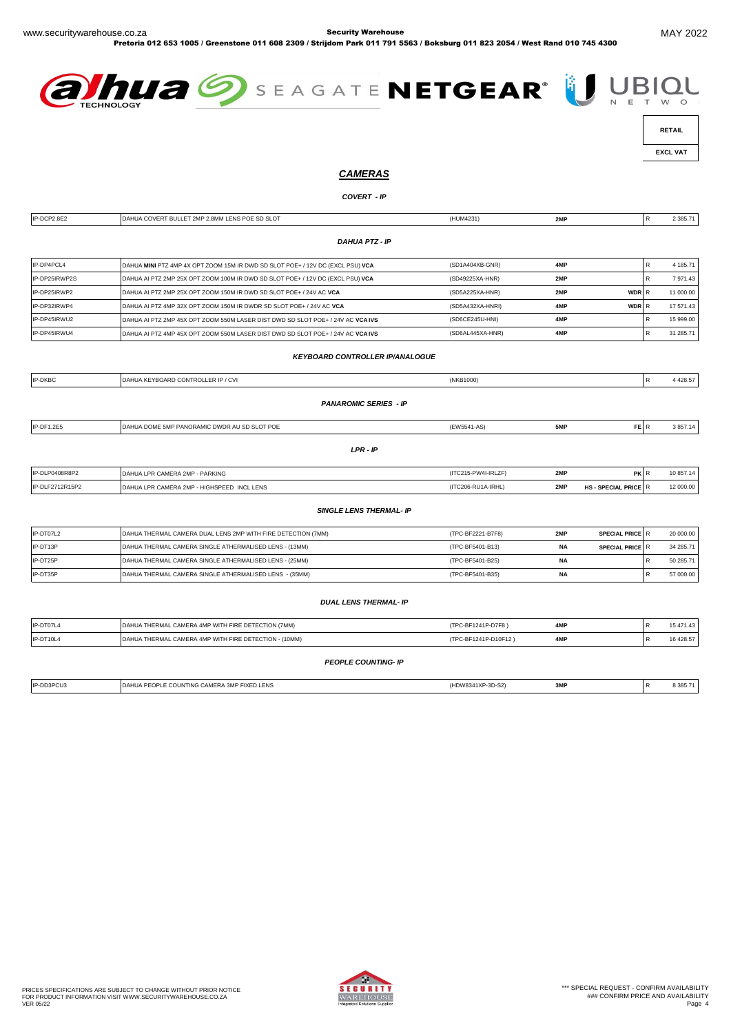Pretoria 012 653 1005 / Greenstone 011 608 2309 / Strijdom Park 011 791 5563 / Boksburg 011 823 2054 / West Rand 010 745 4300





 **RETAIL** 

 **EXCL VAT** 

# *CAMERAS*

#### *COVERT - IP*

| IP-DCP2.8E2     | DAHUA COVERT BULLET 2MP 2.8MM LENS POE SD SLOT                                  | (HUM4231)            | 2MP       |                      | $\mathsf{R}$ | 2 385.71  |
|-----------------|---------------------------------------------------------------------------------|----------------------|-----------|----------------------|--------------|-----------|
|                 |                                                                                 |                      |           |                      |              |           |
|                 | <b>DAHUA PTZ - IP</b>                                                           |                      |           |                      |              |           |
| IP-DP4PCL4      | DAHUA MINI PTZ 4MP 4X OPT ZOOM 15M IR DWD SD SLOT POE+ / 12V DC (EXCL PSU) VCA  | (SD1A404XB-GNR)      | 4MP       |                      | R            | 4 185.71  |
| IP-DP25IRWP2S   | DAHUA AI PTZ 2MP 25X OPT ZOOM 100M IR DWD SD SLOT POE+ / 12V DC (EXCL PSU) VCA  | (SD49225XA-HNR)      | 2MP       |                      | R            | 7971.43   |
| IP-DP25IRWP2    | DAHUA AI PTZ 2MP 25X OPT ZOOM 150M IR DWD SD SLOT POE+ / 24V AC VCA             | (SD5A225XA-HNR)      | 2MP       | WDR R                |              | 11 000.00 |
| IP-DP32IRWP4    | DAHUA AI PTZ 4MP 32X OPT ZOOM 150M IR DWDR SD SLOT POE+ / 24V AC VCA            | (SD5A432XA-HNRI)     | 4MP       | WDR R                |              | 17 571.43 |
| IP-DP45IRWU2    | DAHUA AI PTZ 2MP 45X OPT ZOOM 550M LASER DIST DWD SD SLOT POE+ / 24V AC VCA IVS | (SD6CE245U-HNI)      | 4MP       |                      | R            | 15 999.00 |
| IP-DP45IRWU4    | DAHUA AI PTZ 4MP 45X OPT ZOOM 550M LASER DIST DWD SD SLOT POE+ / 24V AC VCA IVS | (SD6AL445XA-HNR)     | 4MP       |                      | R            | 31 285.71 |
|                 |                                                                                 |                      |           |                      |              |           |
|                 | <b>KEYBOARD CONTROLLER IP/ANALOGUE</b>                                          |                      |           |                      |              |           |
| IP-DKBC         | DAHUA KEYBOARD CONTROLLER IP / CVI                                              | (NKB1000)            |           |                      | ${\sf R}$    | 4 4 28.57 |
|                 |                                                                                 |                      |           |                      |              |           |
|                 | <b>PANAROMIC SERIES - IP</b>                                                    |                      |           |                      |              |           |
| IP-DF1.2E5      | DAHUA DOME 5MP PANORAMIC DWDR AU SD SLOT POE                                    | (EW5541-AS)          | 5MP       | FE R                 |              | 3 857.14  |
|                 |                                                                                 |                      |           |                      |              |           |
|                 | $LPR - IP$                                                                      |                      |           |                      |              |           |
| IP-DLP0408R8P2  | DAHUA LPR CAMERA 2MP - PARKING                                                  | (ITC215-PW4I-IRLZF)  | 2MP       | PK R                 |              | 10 857.14 |
| IP-DLF2712R15P2 | DAHUA LPR CAMERA 2MP - HIGHSPEED INCL LENS                                      | (ITC206-RU1A-IRHL)   | 2MP       | HS - SPECIAL PRICE R |              | 12 000.00 |
|                 | <b>SINGLE LENS THERMAL- IP</b>                                                  |                      |           |                      |              |           |
|                 |                                                                                 |                      |           |                      |              |           |
| IP-DT07L2       | DAHUA THERMAL CAMERA DUAL LENS 2MP WITH FIRE DETECTION (7MM)                    | (TPC-BF2221-B7F8)    | 2MP       | SPECIAL PRICE R      |              | 20 000.00 |
| IP-DT13P        | DAHUA THERMAL CAMERA SINGLE ATHERMALISED LENS - (13MM)                          | (TPC-BF5401-B13)     | <b>NA</b> | SPECIAL PRICE R      |              | 34 285.71 |
| IP-DT25P        | DAHUA THERMAL CAMERA SINGLE ATHERMALISED LENS - (25MM)                          | (TPC-BF5401-B25)     | <b>NA</b> |                      | R            | 50 285.71 |
| IP-DT35P        | DAHUA THERMAL CAMERA SINGLE ATHERMALISED LENS - (35MM)                          | (TPC-BF5401-B35)     | <b>NA</b> |                      | R            | 57 000.00 |
|                 |                                                                                 |                      |           |                      |              |           |
|                 | <b>DUAL LENS THERMAL- IP</b>                                                    |                      |           |                      |              |           |
| IP-DT07L4       | DAHUA THERMAL CAMERA 4MP WITH FIRE DETECTION (7MM)                              | (TPC-BF1241P-D7F8)   | 4MP       |                      | R            | 15 471.43 |
| IP-DT10L4       | DAHUA THERMAL CAMERA 4MP WITH FIRE DETECTION - (10MM)                           | (TPC-BF1241P-D10F12) | 4MP       |                      | R            | 16 428.57 |
|                 |                                                                                 |                      |           |                      |              |           |
|                 | <b>PEOPLE COUNTING- IP</b>                                                      |                      |           |                      |              |           |
|                 |                                                                                 |                      |           |                      |              |           |

| IP-DD3PCU3 | HUA PEOPLE COUNTING CAMERA 3MP FIXED LENS<br>DAH | (HDW8341XP-3D-S2) | 3MF | 8 3 8 5.7 |
|------------|--------------------------------------------------|-------------------|-----|-----------|
|            |                                                  |                   |     |           |

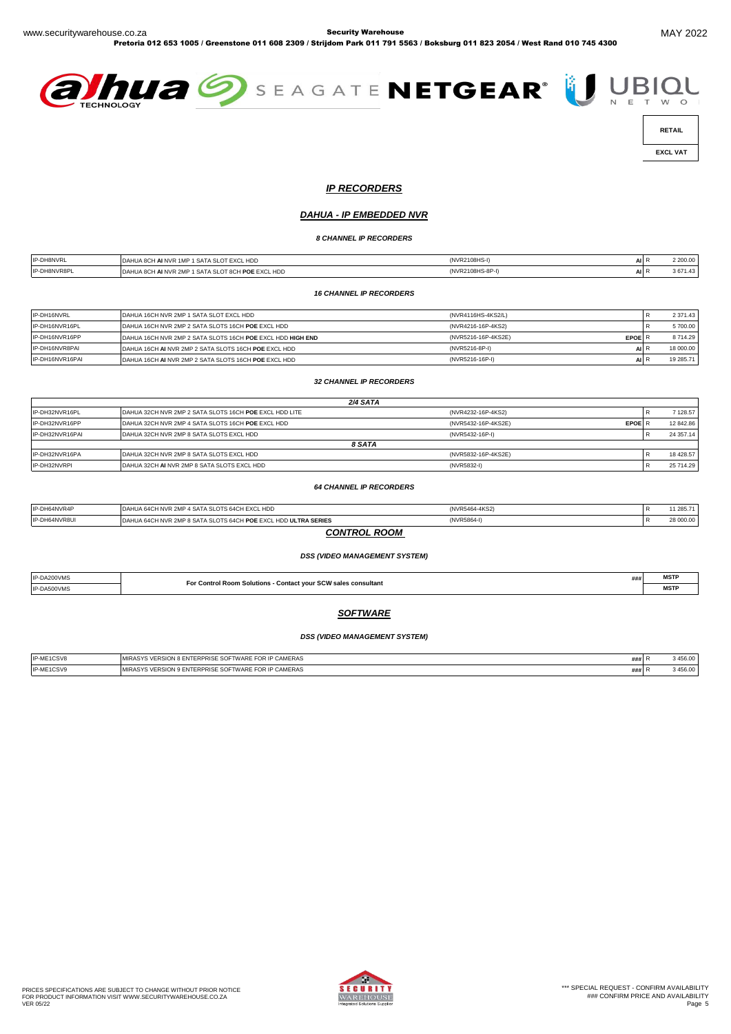Pretoria 012 653 1005 / Greenstone 011 608 2309 / Strijdom Park 011 791 5563 / Boksburg 011 823 2054 / West Rand 010 745 4300



 **EXCL VAT** 

*IP RECORDERS*

### *DAHUA - IP EMBEDDED NVR*

*8 CHANNEL IP RECORDERS*

| <b>IP-DH8NVRL</b> | <b>FEXCL HDE</b><br><b>1MD</b><br>D,<br>ີ<br>um out<br><b>1993</b><br>1 IVI<br>$\cdot$ $\cdot$ | (NVR2108HS-    | л.     | 2 200.00<br>.          |
|-------------------|------------------------------------------------------------------------------------------------|----------------|--------|------------------------|
| IP-DH8NVR8F       | <b>I POE EXCL HDD</b><br>. NVR 2MP<br>$\cdot$ SATA SL $\cdot$ .<br>DA<br>∺ומונ<br>1UA 8UH      | (NVR2108HS-8P- | $\sim$ | 367'<br>$\overline{a}$ |

*16 CHANNEL IP RECORDERS*

| IP-DH16NVRL     | DAHUA 16CH NVR 2MP 1 SATA SLOT EXCL HDD                    | (NVR4116HS-4KS2/L)                   |       | 2 371.43  |
|-----------------|------------------------------------------------------------|--------------------------------------|-------|-----------|
| IP-DH16NVR16PL  | DAHUA 16CH NVR 2MP 2 SATA SLOTS 16CH POE EXCL HDD          | (NVR4216-16P-4KS2)                   |       | 5700.00   |
| IP-DH16NVR16PP  | DAHUA 16CH NVR 2MP 2 SATA SLOTS 16CH POE EXCL HDD HIGH END | (NVR5216-16P-4KS2E)<br><b>EPOELR</b> |       | 8714.29   |
| IP-DH16NVR8PAI  | DAHUA 16CH AI NVR 2MP 2 SATA SLOTS 16CH POE EXCL HDD       | (NVR5216-8P-I)                       | AII F | 18 000,00 |
| IP-DH16NVR16PAI | DAHUA 16CH AI NVR 2MP 2 SATA SLOTS 16CH POE EXCL HDD       | (NVR5216-16P-I)                      |       | 19 285.71 |

*32 CHANNEL IP RECORDERS*

|                 | 2/4 SATA                                               |                     |               |   |           |
|-----------------|--------------------------------------------------------|---------------------|---------------|---|-----------|
| IP-DH32NVR16PL  | DAHUA 32CH NVR 2MP 2 SATA SLOTS 16CH POE EXCL HDD LITE | (NVR4232-16P-4KS2)  |               |   | 128.57    |
| IP-DH32NVR16PP  | DAHUA 32CH NVR 2MP 4 SATA SLOTS 16CH POE EXCL HDD      | (NVR5432-16P-4KS2E) | <b>EPOE R</b> |   | 12 842.86 |
| IP-DH32NVR16PAI | DAHUA 32CH NVR 2MP 8 SATA SLOTS EXCL HDD               | (NVR5432-16P-I)     |               | R | 24 357.14 |
|                 | 8 SATA                                                 |                     |               |   |           |
| IP-DH32NVR16PA  | DAHUA 32CH NVR 2MP 8 SATA SLOTS EXCL HDD               | (NVR5832-16P-4KS2E) |               |   | 18 428.57 |
| IP-DH32NVRPI    | DAHUA 32CH AI NVR 2MP 8 SATA SLOTS EXCL HDD            | (NVR5832-I)         |               | R | 25 714.29 |
|                 |                                                        |                     |               |   |           |

#### *64 CHANNEL IP RECORDERS*

| IP-DH64NVR8UI | DAHUA 64CH NVR 2MP 8 SATA SLOTS 64CH POE EXCL HDD ULTRA SERIES | (NVR5864-I)    |  | 28 000,00 |
|---------------|----------------------------------------------------------------|----------------|--|-----------|
| IP-DH64NVR4P  | DAHUA 64CH NVR 2MP 4 SATA SLOTS 64CH EXCL HDD                  | (NVR5464-4KS2) |  | 285.71    |
|               |                                                                |                |  |           |

*CONTROL ROOM* 

#### *DSS (VIDEO MANAGEMENT SYSTEM)*

| IP-DA200VM | - Contact your SCW sales consultant<br><b>For Control Room</b><br>. Solutions | <b>MSTF</b> |
|------------|-------------------------------------------------------------------------------|-------------|
| IP-DA500VM |                                                                               | <br>MSII    |

# *SOFTWARE*

#### *DSS (VIDEO MANAGEMENT SYSTEM)*

| ME1CSV8    | ' CAMERAS<br><b>FOD</b><br><b>ALL</b><br><b>E SOFTWARE FOR</b><br>. ⊾ MEDCI∩N ≎ T<br><b>NIFRPRISE</b> | *****  | AECOM<br>.JO.UU |
|------------|-------------------------------------------------------------------------------------------------------|--------|-----------------|
| 'P-MF1CSVS | ' CAMERAS<br>UNIERPRISE SOFTWARE FOR 17<br>MIL<br>י טוערי<br>. DC                                     | ,,,,,, | AECOM<br>.JO.U  |

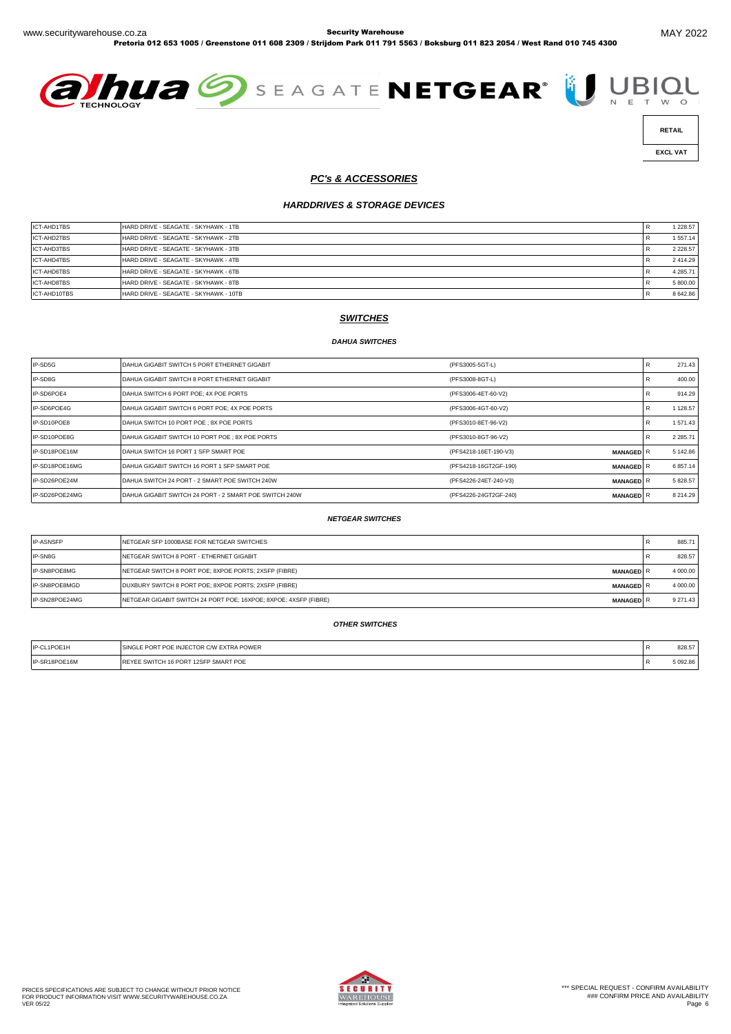Pretoria 012 653 1005 / Greenstone 011 608 2309 / Strijdom Park 011 791 5563 / Boksburg 011 823 2054 / West Rand 010 745 4300





 **EXCL VAT** 

#### *PC's & ACCESSORIES*

#### *HARDDRIVES & STORAGE DEVICES*

| ICT-AHD1TBS        | HARD DRIVE - SEAGATE - SKYHAWK - 1TB  | 1 2 2 8.57    |
|--------------------|---------------------------------------|---------------|
| ICT-AHD2TBS        | HARD DRIVE - SEAGATE - SKYHAWK - 2TB  | 1 557.14      |
| <b>ICT-AHD3TBS</b> | HARD DRIVE - SEAGATE - SKYHAWK - 3TB  | 2 2 2 8 . 5 7 |
| ICT-AHD4TBS        | HARD DRIVE - SEAGATE - SKYHAWK - 4TB  | 2414.29       |
| ICT-AHD6TBS        | HARD DRIVE - SEAGATE - SKYHAWK - 6TB  | 4 2 8 5 . 7 1 |
| ICT-AHD8TBS        | HARD DRIVE - SEAGATE - SKYHAWK - 8TB  | 5 800.00      |
| ICT-AHD10TBS       | HARD DRIVE - SEAGATE - SKYHAWK - 10TB | 8 642.86      |

# *SWITCHES*

#### *DAHUA SWITCHES*

| IP-SD5G        | DAHUA GIGABIT SWITCH 5 PORT ETHERNET GIGABIT           | (PFS3005-5GT-L)                           | 271.43     |
|----------------|--------------------------------------------------------|-------------------------------------------|------------|
| IP-SD8G        | DAHUA GIGABIT SWITCH 8 PORT ETHERNET GIGABIT           | (PFS3008-8GT-L)                           | 400.00     |
| IP-SD6POE4     | DAHUA SWITCH 6 PORT POE; 4X POE PORTS                  | (PFS3006-4ET-60-V2)                       | 914.29     |
| IP-SD6POE4G    | DAHUA GIGABIT SWITCH 6 PORT POE: 4X POE PORTS          | (PFS3006-4GT-60-V2)                       | 1 128.57   |
| IP-SD10POE8    | DAHUA SWITCH 10 PORT POE: 8X POE PORTS                 | (PFS3010-8ET-96-V2)                       | 1 571.43   |
| IP-SD10POE8G   | DAHUA GIGABIT SWITCH 10 PORT POE ; 8X POE PORTS        | (PFS3010-8GT-96-V2)                       | 2 2 8 5.71 |
| IP-SD18POE16M  | DAHUA SWITCH 16 PORT 1 SFP SMART POE                   | (PFS4218-16ET-190-V3)<br><b>MANAGED</b> R | 5 142.86   |
| IP-SD18POE16MG | DAHUA GIGABIT SWITCH 16 PORT 1 SFP SMART POE           | (PFS4218-16GT2GF-190)<br><b>MANAGEDIR</b> | 6 857.14   |
| IP-SD26POE24M  | DAHUA SWITCH 24 PORT - 2 SMART POE SWITCH 240W         | (PFS4226-24ET-240-V3)<br><b>MANAGEDIR</b> | 5 828.57   |
| IP-SD26POE24MG | DAHUA GIGABIT SWITCH 24 PORT - 2 SMART POE SWITCH 240W | (PFS4226-24GT2GF-240)<br><b>MANAGED</b> R | 8 214.29   |

#### *NETGEAR SWITCHES*

| <b>IP-ASNSFP</b> | NETGEAR SFP 1000BASE FOR NETGEAR SWITCHES                                            | 885.71   |
|------------------|--------------------------------------------------------------------------------------|----------|
| IP-SN8G          | NETGEAR SWITCH 8 PORT - ETHERNET GIGABIT                                             | 828.57   |
| IP-SN8POE8MG     | INETGEAR SWITCH 8 PORT POE: 8XPOE PORTS: 2XSFP (FIBRE)<br><b>MANAGED</b> R           | 4 000,00 |
| IP-SN8POE8MGD    | DUXBURY SWITCH 8 PORT POE; 8XPOE PORTS; 2XSFP (FIBRE)<br><b>MANAGED</b> R            | 4 000,00 |
| IP-SN28POE24MG   | NETGEAR GIGABIT SWITCH 24 PORT POE; 16XPOE; 8XPOE; 4XSFP (FIBRE)<br><b>MANAGED</b> R | 9 271.43 |

#### *OTHER SWITCHES*

| IP-CL1POE1H   | <b>SINGLE PORT POE INJECTOR C/W EXTRA POWER</b> | 828.57   |
|---------------|-------------------------------------------------|----------|
| IP-SR18POE16M | E SWITCH 16 PORT 12SFP SMART POE                | 5 092.86 |

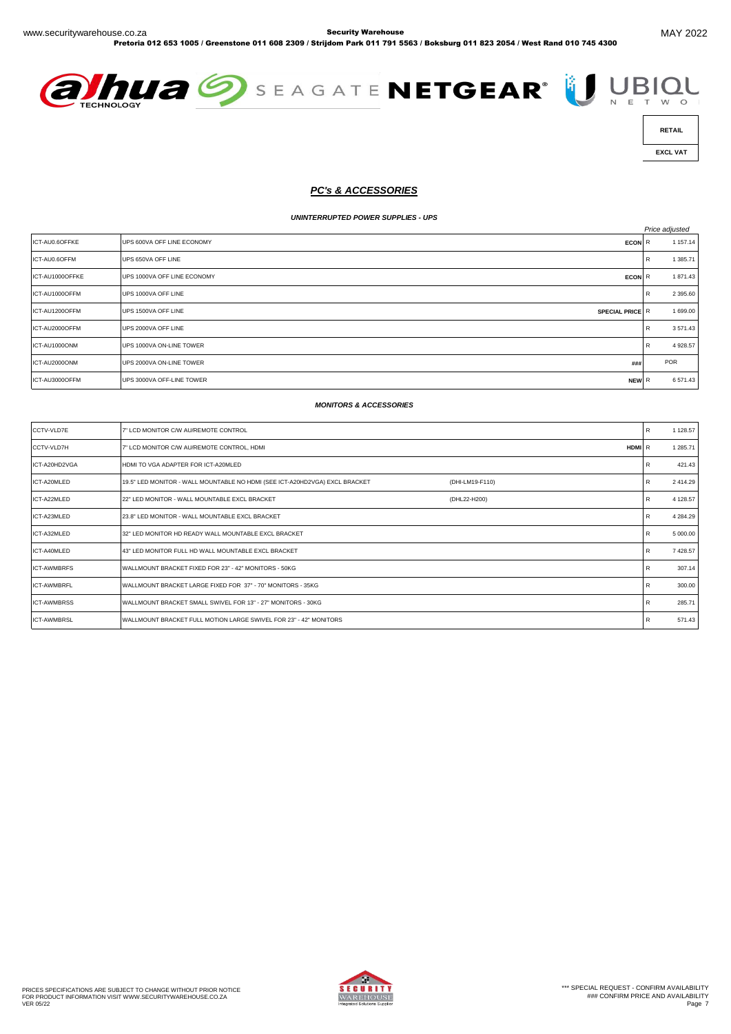





 **EXCL VAT** 

# *PC's & ACCESSORIES*

#### *UNINTERRUPTED POWER SUPPLIES - UPS*

|                 |                                            |   | Price adjusted |
|-----------------|--------------------------------------------|---|----------------|
| ICT-AU0.6OFFKE  | UPS 600VA OFF LINE ECONOMY<br><b>ECON</b>  | R | 1 157.14       |
| ICT-AU0.6OFFM   | UPS 650VA OFF LINE                         | R | 1 385.71       |
| ICT-AU1000OFFKE | UPS 1000VA OFF LINE ECONOMY<br><b>ECON</b> | R | 1871.43        |
| ICT-AU1000OFFM  | UPS 1000VA OFF LINE                        | R | 2 395.60       |
| ICT-AU1200OFFM  | UPS 1500VA OFF LINE<br>SPECIAL PRICE R     |   | 1 699.00       |
| ICT-AU2000OFFM  | UPS 2000VA OFF LINE                        | R | 3571.43        |
| ICT-AU1000ONM   | UPS 1000VA ON-LINE TOWER                   | R | 4 928.57       |
| ICT-AU2000ONM   | UPS 2000VA ON-LINE TOWER<br>###            |   | POR            |
| ICT-AU3000OFFM  | UPS 3000VA OFF-LINE TOWER<br>NEW R         |   | 6571.43        |

#### *MONITORS & ACCESSORIES*

| CCTV-VLD7E         | 7" LCD MONITOR C/W AU/REMOTE CONTROL                                                           | R | 1 128.57 |
|--------------------|------------------------------------------------------------------------------------------------|---|----------|
| <b>CCTV-VLD7H</b>  | 7" LCD MONITOR C/W AU/REMOTE CONTROL, HDMI<br>HDMI R                                           |   | 1 285.71 |
| ICT-A20HD2VGA      | HDMI TO VGA ADAPTER FOR ICT-A20MLED                                                            | R | 421.43   |
| ICT-A20MLED        | 19.5" LED MONITOR - WALL MOUNTABLE NO HDMI (SEE ICT-A20HD2VGA) EXCL BRACKET<br>(DHI-LM19-F110) | R | 2 414.29 |
| ICT-A22MLED        | 22" LED MONITOR - WALL MOUNTABLE EXCL BRACKET<br>(DHL22-H200)                                  | R | 4 128.57 |
| ICT-A23MLED        | 23.8" LED MONITOR - WALL MOUNTABLE EXCL BRACKET                                                | R | 4 284.29 |
| ICT-A32MLED        | 32" LED MONITOR HD READY WALL MOUNTABLE EXCL BRACKET                                           | R | 5 000.00 |
| ICT-A40MLED        | 43" LED MONITOR FULL HD WALL MOUNTABLE EXCL BRACKET                                            | R | 7 428.57 |
| <b>ICT-AWMBRFS</b> | WALLMOUNT BRACKET FIXED FOR 23" - 42" MONITORS - 50KG                                          | R | 307.14   |
| <b>ICT-AWMBRFL</b> | WALLMOUNT BRACKET LARGE FIXED FOR 37" - 70" MONITORS - 35KG                                    | R | 300.00   |
| <b>ICT-AWMBRSS</b> | WALLMOUNT BRACKET SMALL SWIVEL FOR 13" - 27" MONITORS - 30KG                                   | R | 285.71   |
| <b>ICT-AWMBRSL</b> | WALLMOUNT BRACKET FULL MOTION LARGE SWIVEL FOR 23" - 42" MONITORS                              | R | 571.43   |

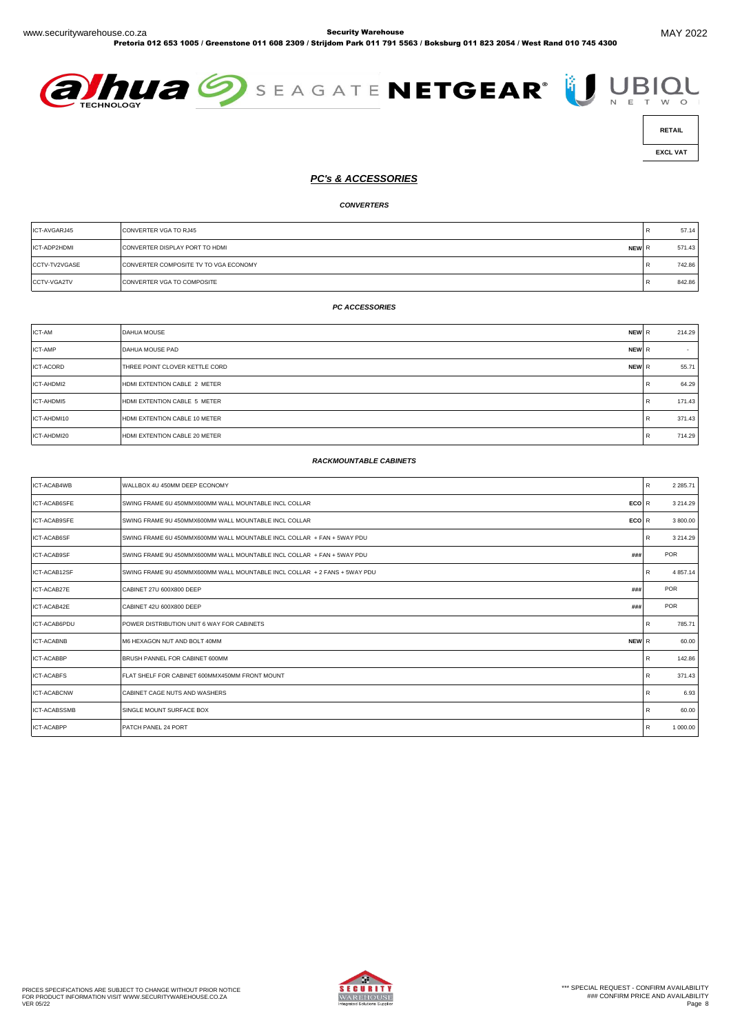Pretoria 012 653 1005 / Greenstone 011 608 2309 / Strijdom Park 011 791 5563 / Boksburg 011 823 2054 / West Rand 010 745 4300







 **EXCL VAT** 

#### *PC's & ACCESSORIES*

*CONVERTERS*

| ICT-AVGARJ45       | CONVERTER VGA TO RJ45                          |      | 57.14  |
|--------------------|------------------------------------------------|------|--------|
| ICT-ADP2HDMI       | <b>CONVERTER DISPLAY PORT TO HDML</b><br>NEW R |      | 571.43 |
| CCTV-TV2VGASE      | CONVERTER COMPOSITE TV TO VGA ECONOMY          | Ð    | 742.86 |
| <b>CCTV-VGA2TV</b> | <b>CONVERTER VGA TO COMPOSITE</b>              | - 53 | 842.86 |

#### *PC ACCESSORIES*

| ICT-AM           | <b>DAHUA MOUSE</b><br>NEW R             |   | 214.29 |
|------------------|-----------------------------------------|---|--------|
| <b>ICT-AMP</b>   | NEW R<br><b>DAHUA MOUSE PAD</b>         |   | $\sim$ |
| <b>ICT-ACORD</b> | THREE POINT CLOVER KETTLE CORD<br>NEW R |   | 55.71  |
| ICT-AHDMI2       | HDMI EXTENTION CABLE 2 METER            |   | 64.29  |
| ICT-AHDMI5       | HDMI EXTENTION CABLE 5 METER            |   | 171.43 |
| ICT-AHDMI10      | HDMI EXTENTION CABLE 10 METER           | R | 371.43 |
| ICT-AHDMI20      | HDMI EXTENTION CABLE 20 METER           |   | 714.29 |

#### *RACKMOUNTABLE CABINETS*

| ICT-ACAB4WB         | WALLBOX 4U 450MM DEEP ECONOMY                                                 | R            | 2 2 8 5.71    |
|---------------------|-------------------------------------------------------------------------------|--------------|---------------|
| ICT-ACAB6SFE        | SWING FRAME 6U 450MMX600MM WALL MOUNTABLE INCL COLLAR<br>ECO <sub>R</sub>     |              | 3 2 1 4 . 2 9 |
| ICT-ACAB9SFE        | <b>ECO</b><br>SWING FRAME 9U 450MMX600MM WALL MOUNTABLE INCL COLLAR           | R            | 3 800.00      |
| ICT-ACAB6SF         | SWING FRAME 6U 450MMX600MM WALL MOUNTABLE INCL COLLAR + FAN + 5WAY PDU        | R            | 3 2 1 4 . 2 9 |
| ICT-ACAB9SF         | SWING FRAME 9U 450MMX600MM WALL MOUNTABLE INCL COLLAR + FAN + 5WAY PDU<br>### |              | <b>POR</b>    |
| ICT-ACAB12SF        | SWING FRAME 9U 450MMX600MM WALL MOUNTABLE INCL COLLAR + 2 FANS + 5WAY PDU     | $\mathsf{R}$ | 4 8 5 7 . 14  |
| ICT-ACAB27E         | CABINET 27U 600X800 DEEP<br>###                                               |              | POR           |
| ICT-ACAB42E         | CABINET 42U 600X800 DEEP<br>###                                               |              | POR           |
| ICT-ACAB6PDU        | POWER DISTRIBUTION UNIT 6 WAY FOR CABINETS                                    | R            | 785.71        |
| <b>ICT-ACABNB</b>   | M6 HEXAGON NUT AND BOLT 40MM<br>NEW R                                         |              | 60.00         |
| <b>ICT-ACABBP</b>   | BRUSH PANNEL FOR CABINET 600MM                                                | $\mathsf{R}$ | 142.86        |
| <b>ICT-ACABFS</b>   | FLAT SHELF FOR CABINET 600MMX450MM FRONT MOUNT                                | R            | 371.43        |
| <b>ICT-ACABCNW</b>  | CABINET CAGE NUTS AND WASHERS                                                 | $\mathsf{R}$ | 6.93          |
| <b>ICT-ACABSSMB</b> | SINGLE MOUNT SURFACE BOX                                                      | $\mathsf{R}$ | 60.00         |
| <b>ICT-ACABPP</b>   | PATCH PANEL 24 PORT                                                           | $\mathsf{R}$ | 1 000.00      |

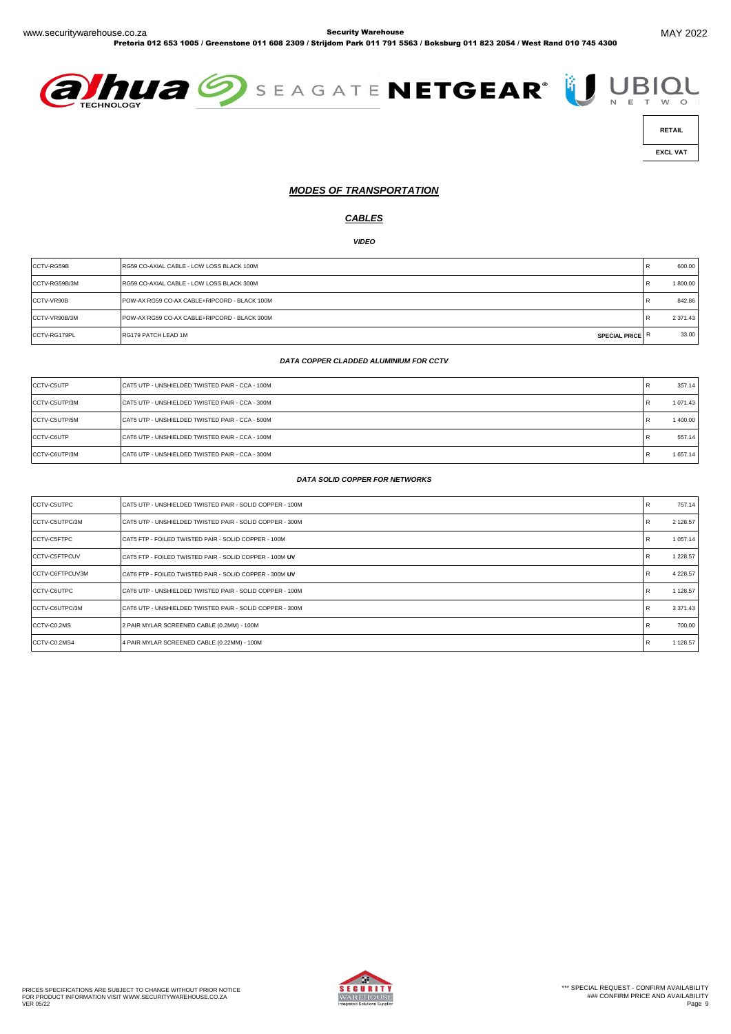Pretoria 012 653 1005 / Greenstone 011 608 2309 / Strijdom Park 011 791 5563 / Boksburg 011 823 2054 / West Rand 010 745 4300





 **EXCL VAT** 

#### *MODES OF TRANSPORTATION*

#### *CABLES*

*VIDEO*

| CCTV-RG59B    | RG59 CO-AXIAL CABLE - LOW LOSS BLACK 100M     | 600.00        |
|---------------|-----------------------------------------------|---------------|
| CCTV-RG59B/3M | RG59 CO-AXIAL CABLE - LOW LOSS BLACK 300M     | 1 800.00      |
| CCTV-VR90B    | POW-AX RG59 CO-AX CABLE+RIPCORD - BLACK 100M  | 842.86        |
| CCTV-VR90B/3M | POW-AX RG59 CO-AX CABLE+RIPCORD - BLACK 300M  | 2 3 7 1 . 4 3 |
| CCTV-RG179PL  | RG179 PATCH LEAD 1M<br><b>SPECIAL PRICE R</b> | 33.00         |

#### *DATA COPPER CLADDED ALUMINIUM FOR CCTV*

| CCTV-C5UTP    | CAT5 UTP - UNSHIELDED TWISTED PAIR - CCA - 100M |         | 357.14   |
|---------------|-------------------------------------------------|---------|----------|
| CCTV-C5UTP/3M | CAT5 UTP - UNSHIELDED TWISTED PAIR - CCA - 300M | E.      | 1 071.43 |
| CCTV-C5UTP/5M | CAT5 UTP - UNSHIELDED TWISTED PAIR - CCA - 500M | R       | 1 400.00 |
| CCTV-C6UTP    | CAT6 UTP - UNSHIELDED TWISTED PAIR - CCA - 100M | R       | 557.14   |
| CCTV-C6UTP/3M | CAT6 UTP - UNSHIELDED TWISTED PAIR - CCA - 300M | P.<br>R | 1 657.14 |

#### *DATA SOLID COPPER FOR NETWORKS*

| CCTV-C5UTPC     | CAT5 UTP - UNSHIELDED TWISTED PAIR - SOLID COPPER - 100M |   | 757.14        |
|-----------------|----------------------------------------------------------|---|---------------|
| CCTV-C5UTPC/3M  | CAT5 UTP - UNSHIELDED TWISTED PAIR - SOLID COPPER - 300M |   | 2 128.57      |
| CCTV-C5FTPC     | CAT5 FTP - FOILED TWISTED PAIR - SOLID COPPER - 100M     |   | 1 0 5 7 . 1 4 |
| CCTV-C5FTPCUV   | CAT5 FTP - FOILED TWISTED PAIR - SOLID COPPER - 100M UV  |   | 1 228.57      |
| CCTV-C6FTPCUV3M | CAT6 FTP - FOILED TWISTED PAIR - SOLID COPPER - 300M UV  |   | 4 2 28.57     |
| CCTV-C6UTPC     | CAT6 UTP - UNSHIELDED TWISTED PAIR - SOLID COPPER - 100M | R | 1 128.57      |
| CCTV-C6UTPC/3M  | CAT6 UTP - UNSHIELDED TWISTED PAIR - SOLID COPPER - 300M | R | 3 3 7 1 . 4 3 |
| CCTV-C0.2MS     | 2 PAIR MYLAR SCREENED CABLE (0.2MM) - 100M               |   | 700.00        |
| CCTV-C0.2MS4    | 4 PAIR MYLAR SCREENED CABLE (0.22MM) - 100M              | R | 1 128.57      |

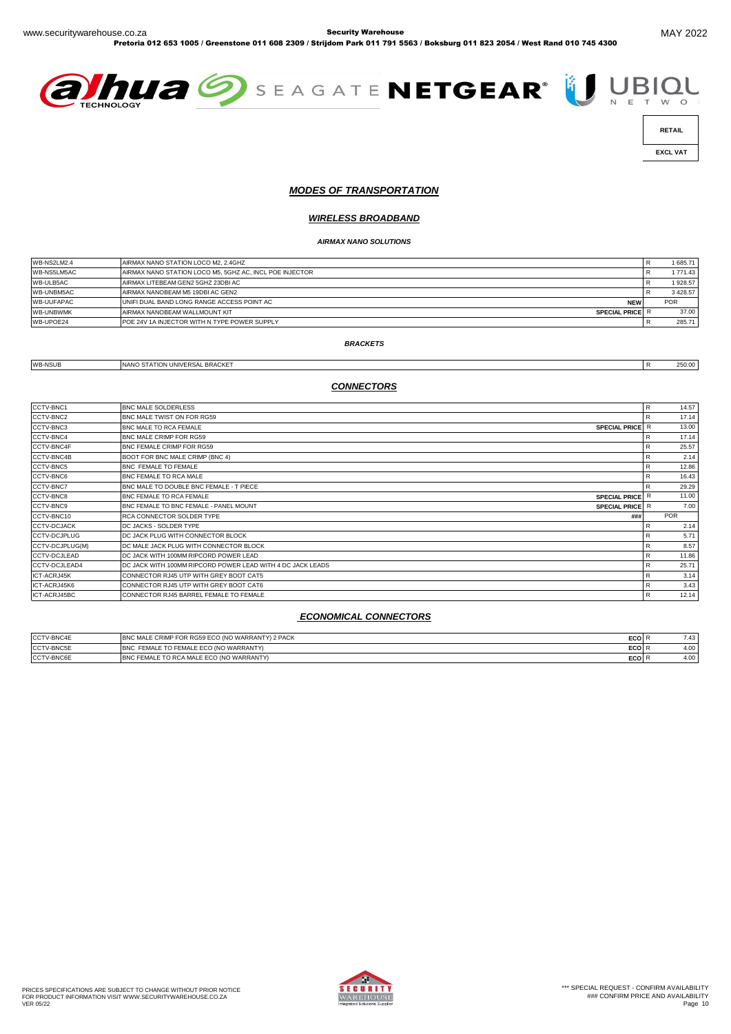Pretoria 012 653 1005 / Greenstone 011 608 2309 / Strijdom Park 011 791 5563 / Boksburg 011 823 2054 / West Rand 010 745 4300





 **EXCL VAT** 

#### *MODES OF TRANSPORTATION*

#### *WIRELESS BROADBAND*

#### *AIRMAX NANO SOLUTIONS*

| WB-NS2LM2.4       | AIRMAX NANO STATION LOCO M2, 2.4GHZ                      | 1685.71    |
|-------------------|----------------------------------------------------------|------------|
| WB-NS5LM5AC       | AIRMAX NANO STATION LOCO M5, 5GHZ AC, INCL POE INJECTOR  | 1771.43    |
| WB-ULB5AC         | AIRMAX LITEBEAM GEN2 5GHZ 23DBI AC                       | 1928.57    |
| WB-UNBM5AC        | AIRMAX NANOBEAM M5 19DBI AC GEN2                         | 3 4 28.57  |
| <b>WB-UUFAPAC</b> | UNIFI DUAL BAND LONG RANGE ACCESS POINT AC<br><b>NEW</b> | <b>POR</b> |
| <b>WB-UNBWMK</b>  | AIRMAX NANOBEAM WALLMOUNT KIT<br><b>SPECIAL PRICE</b>    | 37.00      |
| WB-UPOE24         | <b>IPOE 24V 1A INJECTOR WITH N TYPE POWER SUPPLY</b>     | 285.71     |

#### *BRACKETS*

WB-NSUB NANO STATION UNIVERSAL BRACKET **READING A STATION UNIVERSAL BRACKET** 

#### *CONNECTORS*

| CCTV-BNC1           | <b>BNC MALE SOLDERLESS</b>                                              | $\mathsf{R}$ | 14.57      |
|---------------------|-------------------------------------------------------------------------|--------------|------------|
| CCTV-BNC2           | BNC MALE TWIST ON FOR RG59                                              |              | 17.14      |
| CCTV-BNC3           | BNC MALE TO RCA FEMALE<br>SPECIAL PRICE R                               |              | 13.00      |
| CCTV-BNC4           | BNC MALE CRIMP FOR RG59                                                 | R            | 17.14      |
| CCTV-BNC4F          | BNC FEMALE CRIMP FOR RG59                                               |              | 25.57      |
| CCTV-BNC4B          | BOOT FOR BNC MALE CRIMP (BNC 4)                                         | R            | 2.14       |
| CCTV-BNC5           | BNC FEMALE TO FEMALE                                                    | R            | 12.86      |
| CCTV-BNC6           | BNC FEMALE TO RCA MALE                                                  | R            | 16.43      |
| CCTV-BNC7           | BNC MALE TO DOUBLE BNC FEMALE - T PIECE                                 | R            | 29.29      |
| CCTV-BNC8           | BNC FEMALE TO RCA FEMALE<br><b>SPECIAL PRICE</b>                        |              | 11.00      |
| CCTV-BNC9           | <b>BNC FEMALE TO BNC FEMALE - PANEL MOUNT</b><br><b>SPECIAL PRICE</b> R |              | 7.00       |
| CCTV-BNC10          | RCA CONNECTOR SOLDER TYPE<br>###                                        |              | <b>POR</b> |
| <b>CCTV-DCJACK</b>  | DC JACKS - SOLDER TYPE                                                  | R            | 2.14       |
| CCTV-DCJPLUG        | DC JACK PLUG WITH CONNECTOR BLOCK                                       | R            | 5.71       |
| CCTV-DCJPLUG(M)     | DC MALE JACK PLUG WITH CONNECTOR BLOCK                                  | R            | 8.57       |
| <b>CCTV-DCJLEAD</b> | DC JACK WITH 100MM RIPCORD POWER LEAD                                   | R            | 11.86      |
| CCTV-DCJLEAD4       | DC JACK WITH 100MM RIPCORD POWER LEAD WITH 4 DC JACK LEADS              | R            | 25.71      |
| ICT-ACRJ45K         | CONNECTOR RJ45 UTP WITH GREY BOOT CAT5                                  | R            | 3.14       |
| ICT-ACRJ45K6        | CONNECTOR RJ45 UTP WITH GREY BOOT CAT6                                  | R            | 3.43       |
| ICT-ACRJ45BC        | CONNECTOR RJ45 BARREL FEMALE TO FEMALE                                  | R            | 12.14      |

#### *ECONOMICAL CONNECTORS*

| CCTV-BNC4E | BNC MALE CRIMP FOR RG59 ECO (NO WARRANTY) 2 PACK | ECO | 7.43 |
|------------|--------------------------------------------------|-----|------|
| CCTV-BNC5E | BNC FEMALE TO FEMALE ECO (NO WARRANTY)           | ECO | 4.00 |
| CCTV-BNC6E | BNC FEMALE TO RCA MALE ECO (NO WARRANTY)         | ECO | 4.00 |

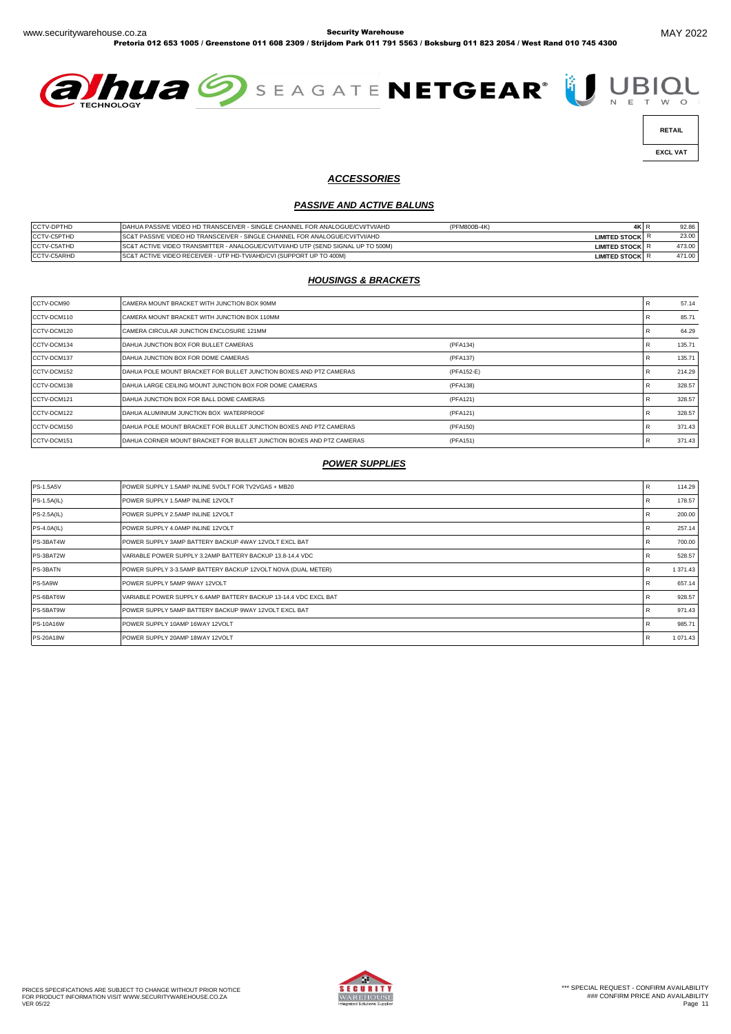Pretoria 012 653 1005 / Greenstone 011 608 2309 / Strijdom Park 011 791 5563 / Boksburg 011 823 2054 / West Rand 010 745 4300





 **EXCL VAT** 

### *ACCESSORIES*

#### *PASSIVE AND ACTIVE BALUNS*

| <b>CCTV-DPTHD</b>  | DAHUA PASSIVE VIDEO HD TRANSCEIVER - SINGLE CHANNEL FOR ANALOGUE/CVI/TVI/AHD      | (PFM800B-4K) | 4K I                 | 92.86  |
|--------------------|-----------------------------------------------------------------------------------|--------------|----------------------|--------|
| <b>CCTV-C5PTHD</b> | ISC&T PASSIVE VIDEO HD TRANSCEIVER - SINGLE CHANNEL FOR ANALOGUE/CVI/TVI/AHD      |              | <b>LIMITED STOCK</b> | 23.00  |
| <b>CCTV-C5ATHD</b> | SC&T ACTIVE VIDEO TRANSMITTER - ANALOGUE/CVI/TVI/AHD UTP (SEND SIGNAL UP TO 500M) |              | <b>LIMITED STOCK</b> | 473.00 |
| CCTV-C5ARHD        | SC&T ACTIVE VIDEO RECEIVER - UTP HD-TVI/AHD/CVI (SUPPORT UP TO 400M)              |              | <b>LIMITED STOCK</b> | 471.00 |

# *HOUSINGS & BRACKETS*

| CCTV-DCM90  | CAMERA MOUNT BRACKET WITH JUNCTION BOX 90MM                          |            | 57.14  |
|-------------|----------------------------------------------------------------------|------------|--------|
| CCTV-DCM110 | CAMERA MOUNT BRACKET WITH JUNCTION BOX 110MM                         |            | 85.71  |
| CCTV-DCM120 | CAMERA CIRCULAR JUNCTION ENCLOSURE 121MM                             |            | 64.29  |
| CCTV-DCM134 | DAHUA JUNCTION BOX FOR BULLET CAMERAS                                | (PFA134)   | 135.71 |
| CCTV-DCM137 | DAHUA JUNCTION BOX FOR DOME CAMERAS                                  | (PFA137)   | 135.71 |
| CCTV-DCM152 | DAHUA POLE MOUNT BRACKET FOR BULLET JUNCTION BOXES AND PTZ CAMERAS   | (PFA152-E) | 214.29 |
| CCTV-DCM138 | DAHUA LARGE CEILING MOUNT JUNCTION BOX FOR DOME CAMERAS              | (PFA138)   | 328.57 |
| CCTV-DCM121 | DAHUA JUNCTION BOX FOR BALL DOME CAMERAS                             | (PFA121)   | 328.57 |
| CCTV-DCM122 | DAHUA ALUMINIUM JUNCTION BOX WATERPROOF                              | (PFA121)   | 328.57 |
| CCTV-DCM150 | DAHUA POLE MOUNT BRACKET FOR BULLET JUNCTION BOXES AND PTZ CAMERAS   | (PFA150)   | 371.43 |
| CCTV-DCM151 | DAHUA CORNER MOUNT BRACKET FOR BULLET JUNCTION BOXES AND PTZ CAMERAS | (PFA151)   | 371.43 |

# *POWER SUPPLIES*

| <b>PS-1.5A5V</b>   | POWER SUPPLY 1.5AMP INLINE 5VOLT FOR TV2VGAS + MB20              |   | 114.29   |
|--------------------|------------------------------------------------------------------|---|----------|
| <b>PS-1.5A(IL)</b> | POWER SUPPLY 1.5AMP INLINE 12VOLT                                |   | 178.57   |
| <b>PS-2.5A(IL)</b> | POWER SUPPLY 2.5AMP INLINE 12VOLT                                | к | 200.00   |
| <b>PS-4.0A(IL)</b> | POWER SUPPLY 4.0AMP INLINE 12VOLT                                | R | 257.14   |
| PS-3BAT4W          | POWER SUPPLY 3AMP BATTERY BACKUP 4WAY 12VOLT EXCL BAT            |   | 700.00   |
| PS-3BAT2W          | VARIABLE POWER SUPPLY 3.2AMP BATTERY BACKUP 13.8-14.4 VDC        |   | 528.57   |
| PS-3BATN           | POWER SUPPLY 3-3.5AMP BATTERY BACKUP 12VOLT NOVA (DUAL METER)    |   | 1 371.43 |
| PS-5A9W            | POWER SUPPLY 5AMP 9WAY 12VOLT                                    |   | 657.14   |
| PS-6BAT6W          | VARIABLE POWER SUPPLY 6.4AMP BATTERY BACKUP 13-14.4 VDC EXCL BAT |   | 928.57   |
| PS-5BAT9W          | POWER SUPPLY 5AMP BATTERY BACKUP 9WAY 12VOLT EXCL BAT            |   | 971.43   |
| <b>PS-10A16W</b>   | POWER SUPPLY 10AMP 16WAY 12VOLT                                  |   | 985.71   |
| <b>PS-20A18W</b>   | POWER SUPPLY 20AMP 18WAY 12VOLT                                  | R | 1 071.43 |

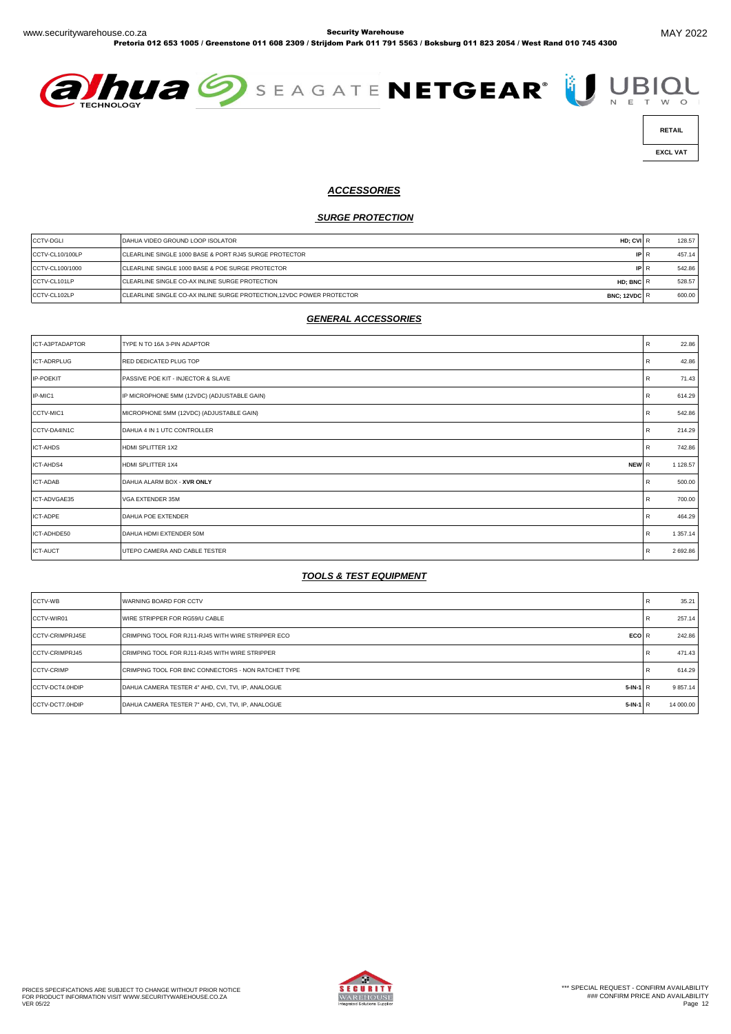Pretoria 012 653 1005 / Greenstone 011 608 2309 / Strijdom Park 011 791 5563 / Boksburg 011 823 2054 / West Rand 010 745 4300





 **EXCL VAT** 

#### *ACCESSORIES*

#### *SURGE PROTECTION*

| <b>CCTV-DGLI</b> | DAHUA VIDEO GROUND LOOP ISOLATOR<br>HD: CVI R                                         | 128.57 |
|------------------|---------------------------------------------------------------------------------------|--------|
| CCTV-CL10/100LP  | <b>CLEARLINE SINGLE 1000 BASE &amp; PORT RJ45 SURGE PROTECTOR</b><br>IPI.             | 457.14 |
| CCTV-CL100/1000  | CLEARLINE SINGLE 1000 BASE & POE SURGE PROTECTOR<br>$\mathsf{IP}$                     | 542.86 |
| CCTV-CL101LP     | CLEARLINE SINGLE CO-AX INLINE SURGE PROTECTION<br>HD: BNC R                           | 528.57 |
| CCTV-CL102LP     | CLEARLINE SINGLE CO-AX INLINE SURGE PROTECTION, 12VDC POWER PROTECTOR<br>BNC: 12VDC R | 600.00 |

#### *GENERAL ACCESSORIES*

| ICT-A3PTADAPTOR    | TYPE N TO 16A 3-PIN ADAPTOR                 | R | 22.86    |
|--------------------|---------------------------------------------|---|----------|
| <b>ICT-ADRPLUG</b> | RED DEDICATED PLUG TOP                      | R | 42.86    |
| IP-POEKIT          | PASSIVE POE KIT - INJECTOR & SLAVE          | R | 71.43    |
| IP-MIC1            | IP MICROPHONE 5MM (12VDC) (ADJUSTABLE GAIN) | R | 614.29   |
| CCTV-MIC1          | MICROPHONE 5MM (12VDC) (ADJUSTABLE GAIN)    | R | 542.86   |
| CCTV-DA4IN1C       | DAHUA 4 IN 1 UTC CONTROLLER                 | R | 214.29   |
| ICT-AHDS           | HDMI SPLITTER 1X2                           | R | 742.86   |
| ICT-AHDS4          | HDMI SPLITTER 1X4<br>NEW R                  |   | 1 128.57 |
| ICT-ADAB           | DAHUA ALARM BOX - XVR ONLY                  | R | 500.00   |
| ICT-ADVGAE35       | VGA EXTENDER 35M                            | R | 700.00   |
| ICT-ADPE           | DAHUA POE EXTENDER                          | R | 464.29   |
| ICT-ADHDE50        | DAHUA HDMI EXTENDER 50M                     | R | 1 357.14 |
| <b>ICT-AUCT</b>    | UTEPO CAMERA AND CABLE TESTER               | R | 2 692.86 |

## *TOOLS & TEST EQUIPMENT*

| CCTV-WB                | <b>WARNING BOARD FOR CCTV</b>                                       | 35.21        |
|------------------------|---------------------------------------------------------------------|--------------|
| CCTV-WIR01             | WIRE STRIPPER FOR RG59/U CABLE                                      | 257.14       |
| <b>CCTV-CRIMPRJ45E</b> | CRIMPING TOOL FOR RJ11-RJ45 WITH WIRE STRIPPER ECO<br>ECO R         | 242.86       |
| <b>CCTV-CRIMPRJ45</b>  | CRIMPING TOOL FOR RJ11-RJ45 WITH WIRE STRIPPER                      | 471.43       |
| <b>CCTV-CRIMP</b>      | CRIMPING TOOL FOR BNC CONNECTORS - NON RATCHET TYPE                 | 614.29       |
| CCTV-DCT4.0HDIP        | DAHUA CAMERA TESTER 4" AHD, CVI, TVI, IP, ANALOGUE<br>$5$ -IN-1 $R$ | 9 8 5 7 . 14 |
| CCTV-DCT7.0HDIP        | DAHUA CAMERA TESTER 7" AHD, CVI, TVI, IP, ANALOGUE<br>$5$ -IN-1 R   | 14 000.00    |